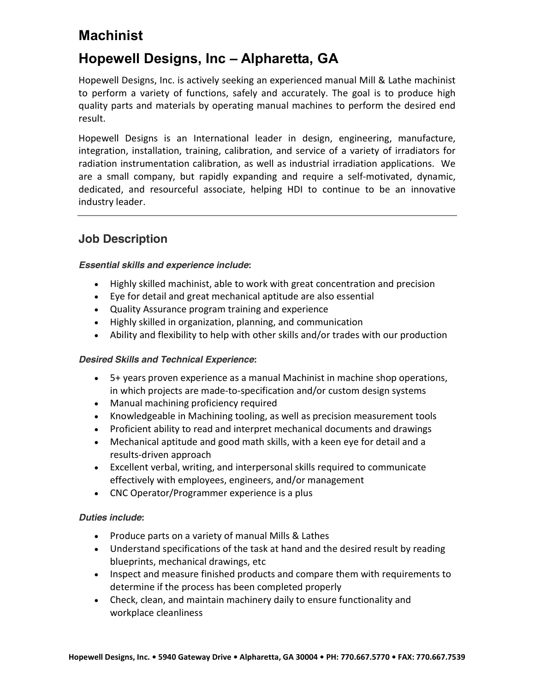# Machinist

# Hopewell Designs, Inc – Alpharetta, GA

Hopewell Designs, Inc. is actively seeking an experienced manual Mill & Lathe machinist to perform a variety of functions, safely and accurately. The goal is to produce high quality parts and materials by operating manual machines to perform the desired end result.

Hopewell Designs is an International leader in design, engineering, manufacture, integration, installation, training, calibration, and service of a variety of irradiators for radiation instrumentation calibration, as well as industrial irradiation applications. We are a small company, but rapidly expanding and require a self-motivated, dynamic, dedicated, and resourceful associate, helping HDI to continue to be an innovative industry leader.

### Job Description

#### Essential skills and experience include:

- Highly skilled machinist, able to work with great concentration and precision
- Eye for detail and great mechanical aptitude are also essential
- Quality Assurance program training and experience
- Highly skilled in organization, planning, and communication
- Ability and flexibility to help with other skills and/or trades with our production

#### Desired Skills and Technical Experience:

- 5+ years proven experience as a manual Machinist in machine shop operations, in which projects are made-to-specification and/or custom design systems
- Manual machining proficiency required
- Knowledgeable in Machining tooling, as well as precision measurement tools
- Proficient ability to read and interpret mechanical documents and drawings
- Mechanical aptitude and good math skills, with a keen eye for detail and a results-driven approach
- Excellent verbal, writing, and interpersonal skills required to communicate effectively with employees, engineers, and/or management
- CNC Operator/Programmer experience is a plus

#### Duties include:

- Produce parts on a variety of manual Mills & Lathes
- Understand specifications of the task at hand and the desired result by reading blueprints, mechanical drawings, etc
- Inspect and measure finished products and compare them with requirements to determine if the process has been completed properly
- Check, clean, and maintain machinery daily to ensure functionality and workplace cleanliness